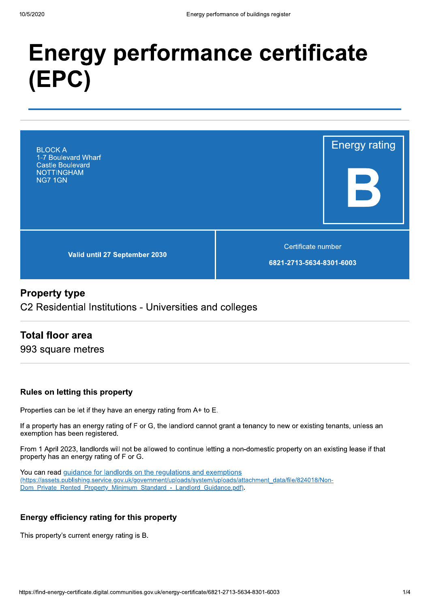# **Energy performance certificate** (EPC)



# **Property type**

C2 Residential Institutions - Universities and colleges

# **Total floor area**

993 square metres

#### **Rules on letting this property**

Properties can be let if they have an energy rating from A+ to E.

If a property has an energy rating of F or G, the landlord cannot grant a tenancy to new or existing tenants, unless an exemption has been registered.

From 1 April 2023, landlords will not be allowed to continue letting a non-domestic property on an existing lease if that property has an energy rating of F or G.

You can read guidance for landlords on the regulations and exemptions (https://assets.publishing.service.gov.uk/government/uploads/system/uploads/attachment\_data/file/824018/Non-Dom Private Rented Property Minimum Standard - Landlord Guidance.pdf).

#### Energy efficiency rating for this property

This property's current energy rating is B.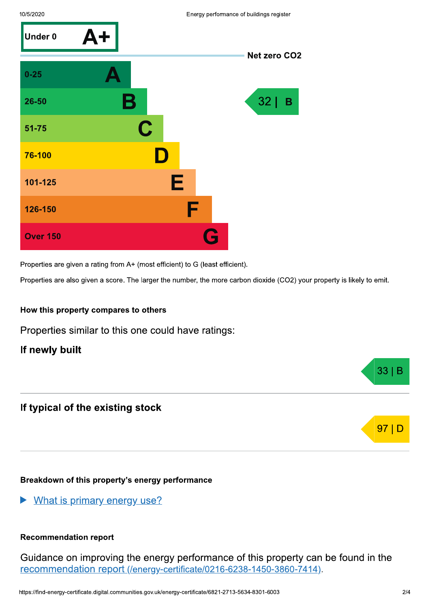

Properties are given a rating from A+ (most efficient) to G (least efficient).

Properties are also given a score. The larger the number, the more carbon dioxide (CO2) your property is likely to emit.

#### How this property compares to others

Properties similar to this one could have ratings:

## If newly built

# If typical of the existing stock

#### Breakdown of this property's energy performance

What is primary energy use?

#### **Recommendation report**

Guidance on improving the energy performance of this property can be found in the recommendation report (/energy-certificate/0216-6238-1450-3860-7414).



 $33|B$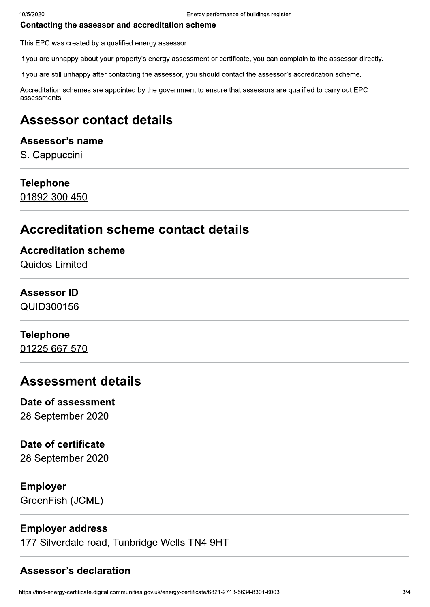#### Contacting the assessor and accreditation scheme

This EPC was created by a qualified energy assessor.

If you are unhappy about your property's energy assessment or certificate, you can complain to the assessor directly.

If you are still unhappy after contacting the assessor, you should contact the assessor's accreditation scheme.

Accreditation schemes are appointed by the government to ensure that assessors are qualified to carry out EPC assessments.

# **Assessor contact details**

# Assessor's name

S. Cappuccini

#### **Telephone**

01892 300 450

# **Accreditation scheme contact details**

**Accreditation scheme** Quidos Limited

# **Assessor ID**

QUID300156

# **Telephone**

01225 667 570

# **Assessment details**

# Date of assessment

28 September 2020

## Date of certificate

28 September 2020

#### **Employer**

GreenFish (JCML)

# **Employer address**

177 Silverdale road, Tunbridge Wells TN4 9HT

# **Assessor's declaration**